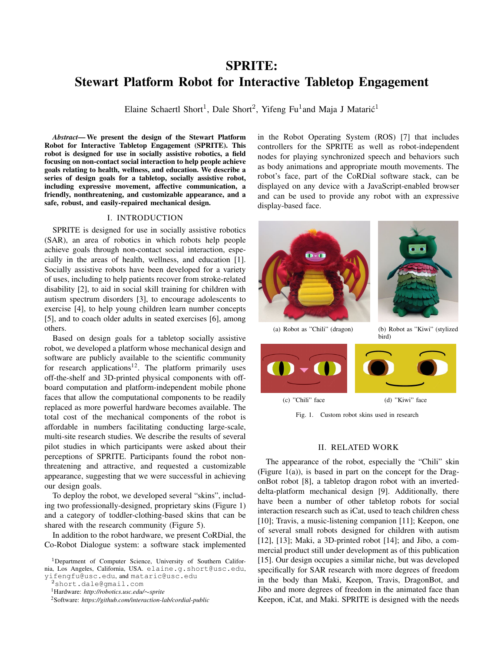## SPRITE:

# Stewart Platform Robot for Interactive Tabletop Engagement

Elaine Schaertl Short<sup>1</sup>, Dale Short<sup>2</sup>, Yifeng Fu<sup>1</sup>and Maja J Mataric<sup>1</sup>

*Abstract*— We present the design of the Stewart Platform Robot for Interactive Tabletop Engagement (SPRITE). This robot is designed for use in socially assistive robotics, a field focusing on non-contact social interaction to help people achieve goals relating to health, wellness, and education. We describe a series of design goals for a tabletop, socially assistive robot, including expressive movement, affective communication, a friendly, nonthreatening, and customizable appearance, and a safe, robust, and easily-repaired mechanical design.

## I. INTRODUCTION

SPRITE is designed for use in socially assistive robotics (SAR), an area of robotics in which robots help people achieve goals through non-contact social interaction, especially in the areas of health, wellness, and education [1]. Socially assistive robots have been developed for a variety of uses, including to help patients recover from stroke-related disability [2], to aid in social skill training for children with autism spectrum disorders [3], to encourage adolescents to exercise [4], to help young children learn number concepts [5], and to coach older adults in seated exercises [6], among others.

Based on design goals for a tabletop socially assistive robot, we developed a platform whose mechanical design and software are publicly available to the scientific community for research applications<sup>12</sup>. The platform primarily uses off-the-shelf and 3D-printed physical components with offboard computation and platform-independent mobile phone faces that allow the computational components to be readily replaced as more powerful hardware becomes available. The total cost of the mechanical components of the robot is affordable in numbers facilitating conducting large-scale, multi-site research studies. We describe the results of several pilot studies in which participants were asked about their perceptions of SPRITE. Participants found the robot nonthreatening and attractive, and requested a customizable appearance, suggesting that we were successful in achieving our design goals.

To deploy the robot, we developed several "skins", including two professionally-designed, proprietary skins (Figure 1) and a category of toddler-clothing-based skins that can be shared with the research community (Figure 5).

In addition to the robot hardware, we present CoRDial, the Co-Robot Dialogue system: a software stack implemented in the Robot Operating System (ROS) [7] that includes controllers for the SPRITE as well as robot-independent nodes for playing synchronized speech and behaviors such as body animations and appropriate mouth movements. The robot's face, part of the CoRDial software stack, can be displayed on any device with a JavaScript-enabled browser and can be used to provide any robot with an expressive display-based face.







Fig. 1. Custom robot skins used in research

## II. RELATED WORK

The appearance of the robot, especially the "Chili" skin (Figure 1(a)), is based in part on the concept for the DragonBot robot [8], a tabletop dragon robot with an inverteddelta-platform mechanical design [9]. Additionally, there have been a number of other tabletop robots for social interaction research such as iCat, used to teach children chess [10]; Travis, a music-listening companion [11]; Keepon, one of several small robots designed for children with autism [12], [13]; Maki, a 3D-printed robot [14]; and Jibo, a commercial product still under development as of this publication [15]. Our design occupies a similar niche, but was developed specifically for SAR research with more degrees of freedom in the body than Maki, Keepon, Travis, DragonBot, and Jibo and more degrees of freedom in the animated face than Keepon, iCat, and Maki. SPRITE is designed with the needs

<sup>1</sup>Department of Computer Science, University of Southern California, Los Angeles, California, USA. elaine.g.short@usc.edu, yifengfu@usc.edu, and mataric@usc.edu

<sup>2</sup>short.dale@gmail.com

<sup>1</sup>Hardware: *http://robotics.usc.edu/*⇠*sprite* 2Software: *https://github.com/interaction-lab/cordial-public*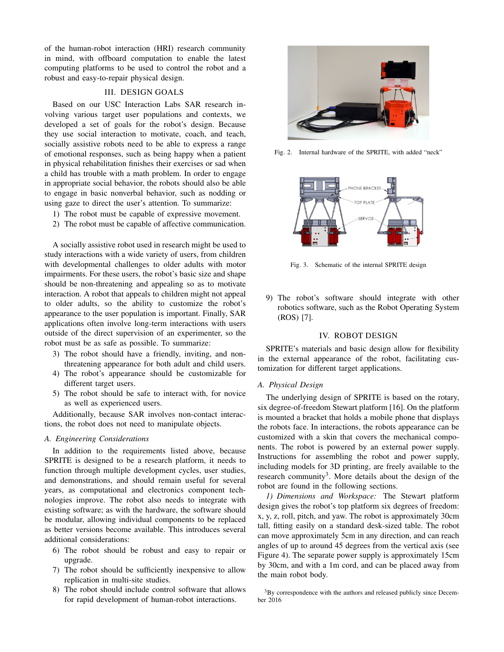of the human-robot interaction (HRI) research community in mind, with offboard computation to enable the latest computing platforms to be used to control the robot and a robust and easy-to-repair physical design.

#### III. DESIGN GOALS

Based on our USC Interaction Labs SAR research involving various target user populations and contexts, we developed a set of goals for the robot's design. Because they use social interaction to motivate, coach, and teach, socially assistive robots need to be able to express a range of emotional responses, such as being happy when a patient in physical rehabilitation finishes their exercises or sad when a child has trouble with a math problem. In order to engage in appropriate social behavior, the robots should also be able to engage in basic nonverbal behavior, such as nodding or using gaze to direct the user's attention. To summarize:

- 1) The robot must be capable of expressive movement.
- 2) The robot must be capable of affective communication.

A socially assistive robot used in research might be used to study interactions with a wide variety of users, from children with developmental challenges to older adults with motor impairments. For these users, the robot's basic size and shape should be non-threatening and appealing so as to motivate interaction. A robot that appeals to children might not appeal to older adults, so the ability to customize the robot's appearance to the user population is important. Finally, SAR applications often involve long-term interactions with users outside of the direct supervision of an experimenter, so the robot must be as safe as possible. To summarize:

- 3) The robot should have a friendly, inviting, and nonthreatening appearance for both adult and child users.
- 4) The robot's appearance should be customizable for different target users.
- 5) The robot should be safe to interact with, for novice as well as experienced users.

Additionally, because SAR involves non-contact interactions, the robot does not need to manipulate objects.

## *A. Engineering Considerations*

In addition to the requirements listed above, because SPRITE is designed to be a research platform, it needs to function through multiple development cycles, user studies, and demonstrations, and should remain useful for several years, as computational and electronics component technologies improve. The robot also needs to integrate with existing software; as with the hardware, the software should be modular, allowing individual components to be replaced as better versions become available. This introduces several additional considerations:

- 6) The robot should be robust and easy to repair or upgrade.
- 7) The robot should be sufficiently inexpensive to allow replication in multi-site studies.
- 8) The robot should include control software that allows for rapid development of human-robot interactions.



Fig. 2. Internal hardware of the SPRITE, with added "neck"



Fig. 3. Schematic of the internal SPRITE design

9) The robot's software should integrate with other robotics software, such as the Robot Operating System (ROS) [7].

## IV. ROBOT DESIGN

SPRITE's materials and basic design allow for flexibility in the external appearance of the robot, facilitating customization for different target applications.

#### *A. Physical Design*

The underlying design of SPRITE is based on the rotary, six degree-of-freedom Stewart platform [16]. On the platform is mounted a bracket that holds a mobile phone that displays the robots face. In interactions, the robots appearance can be customized with a skin that covers the mechanical components. The robot is powered by an external power supply. Instructions for assembling the robot and power supply, including models for 3D printing, are freely available to the research community<sup>3</sup>. More details about the design of the robot are found in the following sections.

*1) Dimensions and Workspace:* The Stewart platform design gives the robot's top platform six degrees of freedom: x, y, z, roll, pitch, and yaw. The robot is approximately 30cm tall, fitting easily on a standard desk-sized table. The robot can move approximately 5cm in any direction, and can reach angles of up to around 45 degrees from the vertical axis (see Figure 4). The separate power supply is approximately 15cm by 30cm, and with a 1m cord, and can be placed away from the main robot body.

<sup>&</sup>lt;sup>3</sup>By correspondence with the authors and released publicly since December 2016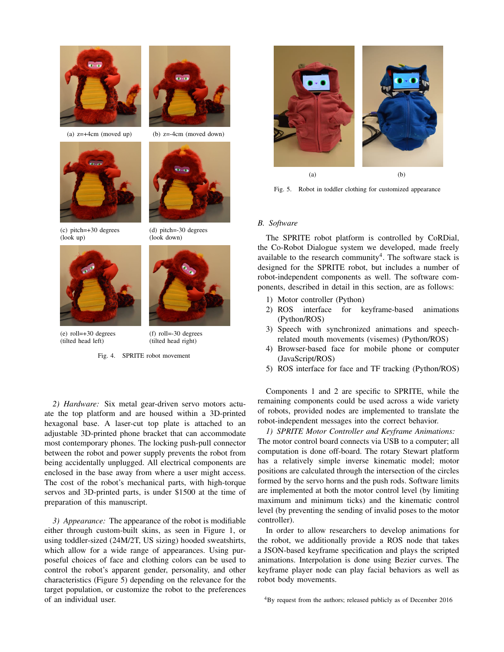





(a)  $z=+4cm$  (moved up) (b)  $z=4cm$  (moved down)



(d) pitch=-30 degrees (look down)

(c) pitch=+30 degrees (look up)





(e) roll=+30 degrees (tilted head left)

(f) roll=-30 degrees (tilted head right)

Fig. 4. SPRITE robot movement

*2) Hardware:* Six metal gear-driven servo motors actuate the top platform and are housed within a 3D-printed hexagonal base. A laser-cut top plate is attached to an adjustable 3D-printed phone bracket that can accommodate most contemporary phones. The locking push-pull connector between the robot and power supply prevents the robot from being accidentally unplugged. All electrical components are enclosed in the base away from where a user might access. The cost of the robot's mechanical parts, with high-torque servos and 3D-printed parts, is under \$1500 at the time of preparation of this manuscript.

*3) Appearance:* The appearance of the robot is modifiable either through custom-built skins, as seen in Figure 1, or using toddler-sized (24M/2T, US sizing) hooded sweatshirts, which allow for a wide range of appearances. Using purposeful choices of face and clothing colors can be used to control the robot's apparent gender, personality, and other characteristics (Figure 5) depending on the relevance for the target population, or customize the robot to the preferences of an individual user.



Fig. 5. Robot in toddler clothing for customized appearance

## *B. Software*

The SPRITE robot platform is controlled by CoRDial, the Co-Robot Dialogue system we developed, made freely available to the research community<sup>4</sup>. The software stack is designed for the SPRITE robot, but includes a number of robot-independent components as well. The software components, described in detail in this section, are as follows:

- 1) Motor controller (Python)
- 2) ROS interface for keyframe-based animations (Python/ROS)
- 3) Speech with synchronized animations and speechrelated mouth movements (visemes) (Python/ROS)
- 4) Browser-based face for mobile phone or computer (JavaScript/ROS)
- 5) ROS interface for face and TF tracking (Python/ROS)

Components 1 and 2 are specific to SPRITE, while the remaining components could be used across a wide variety of robots, provided nodes are implemented to translate the robot-independent messages into the correct behavior.

*1) SPRITE Motor Controller and Keyframe Animations:* The motor control board connects via USB to a computer; all computation is done off-board. The rotary Stewart platform has a relatively simple inverse kinematic model; motor positions are calculated through the intersection of the circles formed by the servo horns and the push rods. Software limits are implemented at both the motor control level (by limiting maximum and minimum ticks) and the kinematic control level (by preventing the sending of invalid poses to the motor controller).

In order to allow researchers to develop animations for the robot, we additionally provide a ROS node that takes a JSON-based keyframe specification and plays the scripted animations. Interpolation is done using Bezier curves. The keyframe player node can play facial behaviors as well as robot body movements.

<sup>4</sup>By request from the authors; released publicly as of December 2016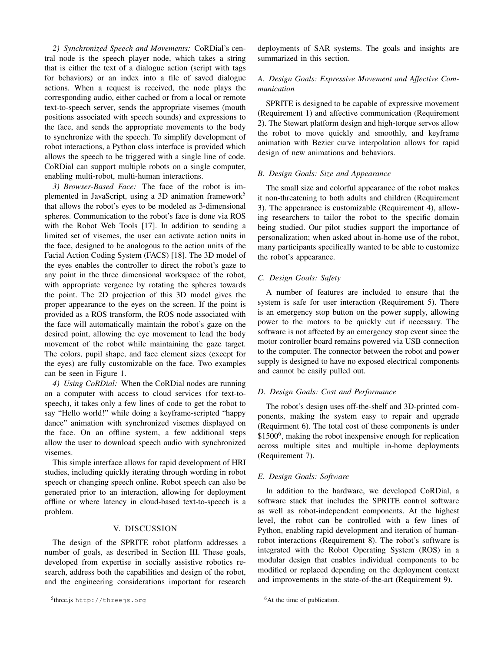*2) Synchronized Speech and Movements:* CoRDial's central node is the speech player node, which takes a string that is either the text of a dialogue action (script with tags for behaviors) or an index into a file of saved dialogue actions. When a request is received, the node plays the corresponding audio, either cached or from a local or remote text-to-speech server, sends the appropriate visemes (mouth positions associated with speech sounds) and expressions to the face, and sends the appropriate movements to the body to synchronize with the speech. To simplify development of robot interactions, a Python class interface is provided which allows the speech to be triggered with a single line of code. CoRDial can support multiple robots on a single computer, enabling multi-robot, multi-human interactions.

*3) Browser-Based Face:* The face of the robot is implemented in JavaScript, using a 3D animation framework<sup>5</sup> that allows the robot's eyes to be modeled as 3-dimensional spheres. Communication to the robot's face is done via ROS with the Robot Web Tools [17]. In addition to sending a limited set of visemes, the user can activate action units in the face, designed to be analogous to the action units of the Facial Action Coding System (FACS) [18]. The 3D model of the eyes enables the controller to direct the robot's gaze to any point in the three dimensional workspace of the robot, with appropriate vergence by rotating the spheres towards the point. The 2D projection of this 3D model gives the proper appearance to the eyes on the screen. If the point is provided as a ROS transform, the ROS node associated with the face will automatically maintain the robot's gaze on the desired point, allowing the eye movement to lead the body movement of the robot while maintaining the gaze target. The colors, pupil shape, and face element sizes (except for the eyes) are fully customizable on the face. Two examples can be seen in Figure 1.

*4) Using CoRDial:* When the CoRDial nodes are running on a computer with access to cloud services (for text-tospeech), it takes only a few lines of code to get the robot to say "Hello world!" while doing a keyframe-scripted "happy dance" animation with synchronized visemes displayed on the face. On an offline system, a few additional steps allow the user to download speech audio with synchronized visemes.

This simple interface allows for rapid development of HRI studies, including quickly iterating through wording in robot speech or changing speech online. Robot speech can also be generated prior to an interaction, allowing for deployment offline or where latency in cloud-based text-to-speech is a problem.

## V. DISCUSSION

The design of the SPRITE robot platform addresses a number of goals, as described in Section III. These goals, developed from expertise in socially assistive robotics research, address both the capabilities and design of the robot, and the engineering considerations important for research deployments of SAR systems. The goals and insights are summarized in this section.

## *A. Design Goals: Expressive Movement and Affective Communication*

SPRITE is designed to be capable of expressive movement (Requirement 1) and affective communication (Requirement 2). The Stewart platform design and high-torque servos allow the robot to move quickly and smoothly, and keyframe animation with Bezier curve interpolation allows for rapid design of new animations and behaviors.

## *B. Design Goals: Size and Appearance*

The small size and colorful appearance of the robot makes it non-threatening to both adults and children (Requirement 3). The appearance is customizable (Requirement 4), allowing researchers to tailor the robot to the specific domain being studied. Our pilot studies support the importance of personalization; when asked about in-home use of the robot, many participants specifically wanted to be able to customize the robot's appearance.

#### *C. Design Goals: Safety*

A number of features are included to ensure that the system is safe for user interaction (Requirement 5). There is an emergency stop button on the power supply, allowing power to the motors to be quickly cut if necessary. The software is not affected by an emergency stop event since the motor controller board remains powered via USB connection to the computer. The connector between the robot and power supply is designed to have no exposed electrical components and cannot be easily pulled out.

#### *D. Design Goals: Cost and Performance*

The robot's design uses off-the-shelf and 3D-printed components, making the system easy to repair and upgrade (Requirment 6). The total cost of these components is under  $$1500<sup>6</sup>$ , making the robot inexpensive enough for replication across multiple sites and multiple in-home deployments (Requirement 7).

## *E. Design Goals: Software*

In addition to the hardware, we developed CoRDial, a software stack that includes the SPRITE control software as well as robot-independent components. At the highest level, the robot can be controlled with a few lines of Python, enabling rapid development and iteration of humanrobot interactions (Requirement 8). The robot's software is integrated with the Robot Operating System (ROS) in a modular design that enables individual components to be modified or replaced depending on the deployment context and improvements in the state-of-the-art (Requirement 9).

<sup>&</sup>lt;sup>6</sup>At the time of publication.